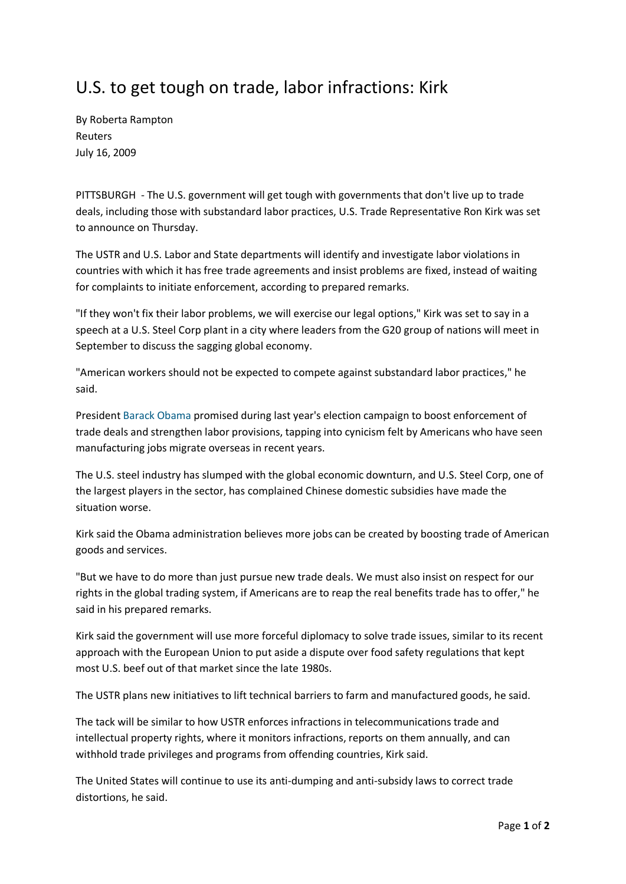## U.S. to get tough on trade, labor infractions: Kirk

By Roberta Rampton Reuters July 16, 2009

PITTSBURGH - The U.S. government will get tough with governments that don't live up to trade deals, including those with substandard labor practices, U.S. Trade Representative Ron Kirk was set to announce on Thursday.

The USTR and U.S. Labor and State departments will identify and investigate labor violations in countries with which it has free trade agreements and insist problems are fixed, instead of waiting for complaints to initiate enforcement, according to prepared remarks.

"If they won't fix their labor problems, we will exercise our legal options," Kirk was set to say in a speech at a U.S. Steel Corp plant in a city where leaders from the G20 group of nations will meet in September to discuss the sagging global economy.

"American workers should not be expected to compete against substandard labor practices," he said.

President [Barack Obama](http://www.reuters.com/news/globalcoverage/barackobama) promised during last year's election campaign to boost enforcement of trade deals and strengthen labor provisions, tapping into cynicism felt by Americans who have seen manufacturing jobs migrate overseas in recent years.

The U.S. steel industry has slumped with the global economic downturn, and U.S. Steel Corp, one of the largest players in the sector, has complained Chinese domestic subsidies have made the situation worse.

Kirk said the Obama administration believes more jobs can be created by boosting trade of American goods and services.

"But we have to do more than just pursue new trade deals. We must also insist on respect for our rights in the global trading system, if Americans are to reap the real benefits trade has to offer," he said in his prepared remarks.

Kirk said the government will use more forceful diplomacy to solve trade issues, similar to its recent approach with the European Union to put aside a dispute over food safety regulations that kept most U.S. beef out of that market since the late 1980s.

The USTR plans new initiatives to lift technical barriers to farm and manufactured goods, he said.

The tack will be similar to how USTR enforces infractions in telecommunications trade and intellectual property rights, where it monitors infractions, reports on them annually, and can withhold trade privileges and programs from offending countries, Kirk said.

The United States will continue to use its anti-dumping and anti-subsidy laws to correct trade distortions, he said.